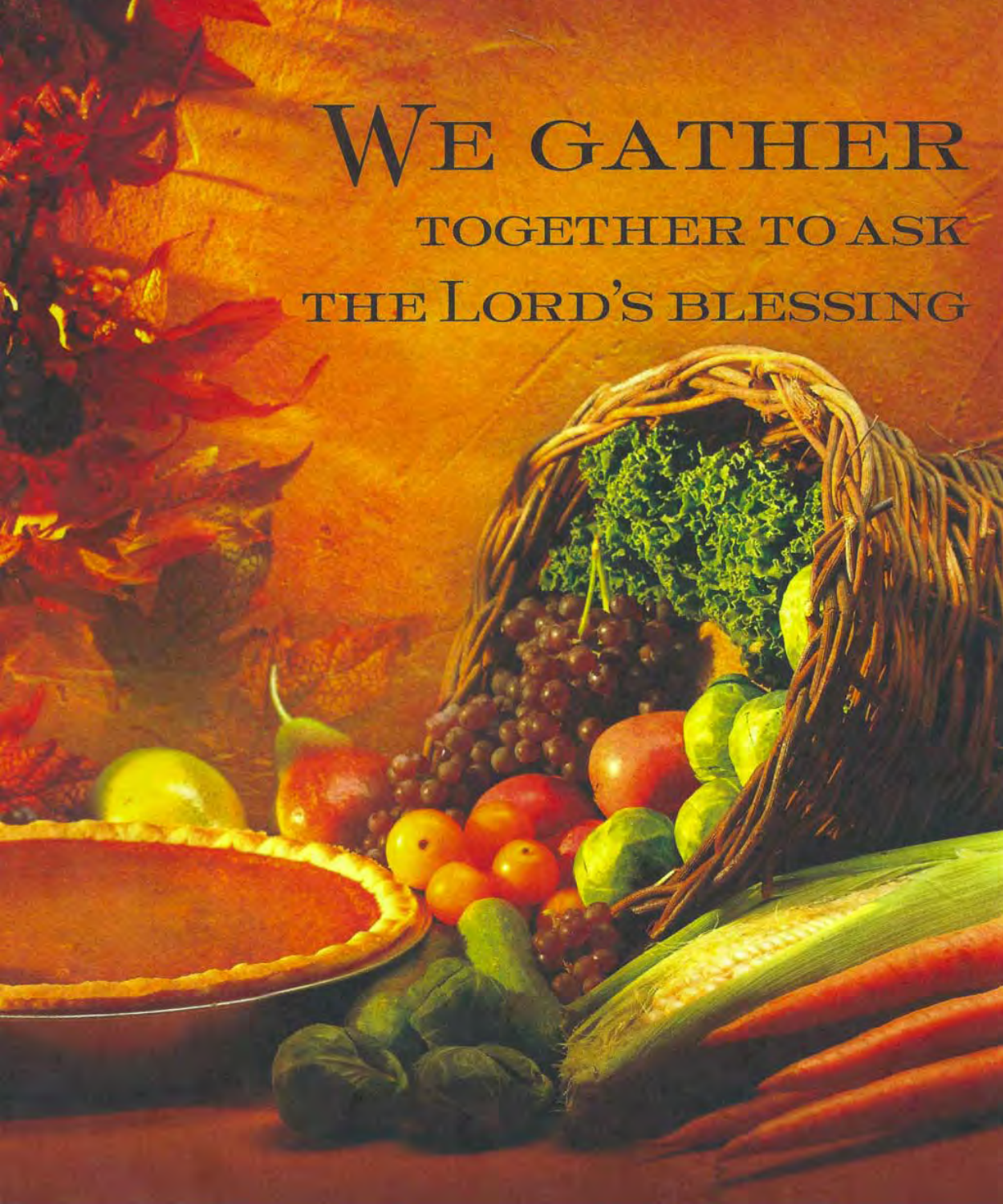## WE GATHER **TOGETHER TO ASK** THE LORD'S BLESSING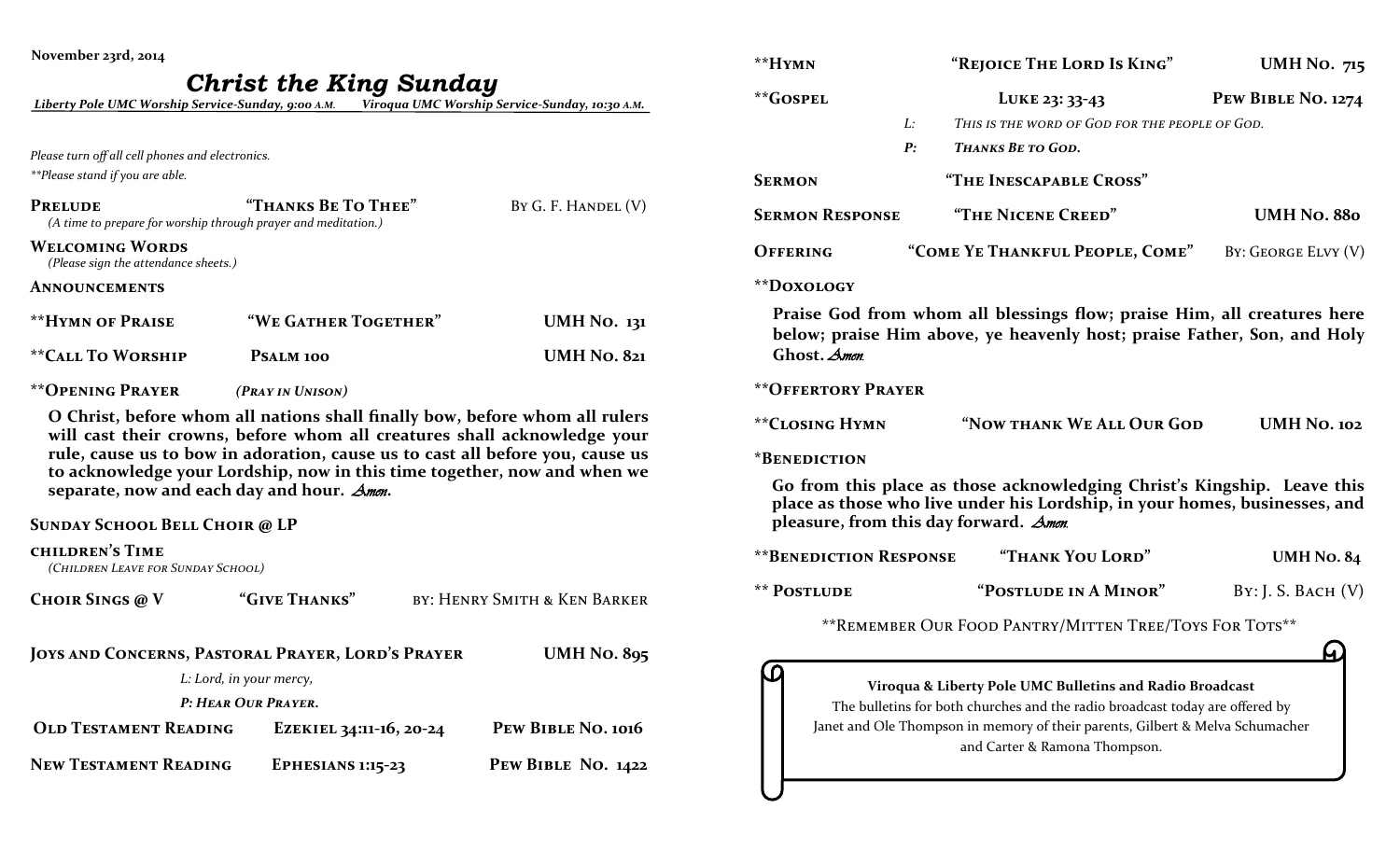| November 23rd, 2014                                                                 |                                                                                                                                                                                                                                                                                                                      |                              |
|-------------------------------------------------------------------------------------|----------------------------------------------------------------------------------------------------------------------------------------------------------------------------------------------------------------------------------------------------------------------------------------------------------------------|------------------------------|
|                                                                                     | <b>Christ the King Sunday</b><br>Liberty Pole UMC Worship Service-Sunday, 9:00 A.M. Viroqua UMC Worship Service-Sunday, 10:30 A.M.                                                                                                                                                                                   |                              |
| Please turn off all cell phones and electronics.<br>**Please stand if you are able. |                                                                                                                                                                                                                                                                                                                      |                              |
| <b>PRELUDE</b><br>(A time to prepare for worship through prayer and meditation.)    | "THANKS BE TO THEE"                                                                                                                                                                                                                                                                                                  | BY G. F. HANDEL (V)          |
| <b>WELCOMING WORDS</b><br>(Please sign the attendance sheets.)                      |                                                                                                                                                                                                                                                                                                                      |                              |
| <b>ANNOUNCEMENTS</b>                                                                |                                                                                                                                                                                                                                                                                                                      |                              |
| <b>**HYMN OF PRAISE</b>                                                             | "WE GATHER TOGETHER"                                                                                                                                                                                                                                                                                                 | <b>UMH No. 131</b>           |
| <b>**CALL TO WORSHIP</b>                                                            | PSALM 100                                                                                                                                                                                                                                                                                                            | <b>UMH No. 821</b>           |
| <b>**OPENING PRAYER</b>                                                             | (PRAY IN UNISON)                                                                                                                                                                                                                                                                                                     |                              |
| separate, now and each day and hour. Amen.                                          | O Christ, before whom all nations shall finally bow, before whom all rulers<br>will cast their crowns, before whom all creatures shall acknowledge your<br>rule, cause us to bow in adoration, cause us to cast all before you, cause us<br>to acknowledge your Lordship, now in this time together, now and when we |                              |
| <b>SUNDAY SCHOOL BELL CHOIR @ LP</b>                                                |                                                                                                                                                                                                                                                                                                                      |                              |
| <b>CHILDREN'S TIME</b><br>(CHILDREN LEAVE FOR SUNDAY SCHOOL)                        |                                                                                                                                                                                                                                                                                                                      |                              |
| <b>CHOIR SINGS @ V</b>                                                              | "GIVE THANKS"                                                                                                                                                                                                                                                                                                        | BY: HENRY SMITH & KEN BARKER |
|                                                                                     | JOYS AND CONCERNS, PASTORAL PRAYER, LORD'S PRAYER<br>L: Lord, in your mercy,                                                                                                                                                                                                                                         | <b>UMH No. 895</b>           |
|                                                                                     | P: HEAR OUR PRAYER.                                                                                                                                                                                                                                                                                                  |                              |
| <b>OLD TESTAMENT READING</b>                                                        | EZEKIEL 34:11-16, 20-24                                                                                                                                                                                                                                                                                              | PEW BIBLE NO. 1016           |
| <b>NEW TESTAMENT READING</b>                                                        | <b>EPHESIANS 1:15-23</b>                                                                                                                                                                                                                                                                                             | PEW BIBLE NO. 1422           |

| **HYMN        |                                |    | "REJOICE THE LORD IS KING"                                                                                                                                                                                                                                 | <b>UMH No. 715</b>  |
|---------------|--------------------------------|----|------------------------------------------------------------------------------------------------------------------------------------------------------------------------------------------------------------------------------------------------------------|---------------------|
| **GOSPEL      |                                |    | LUKE 23: 33-43                                                                                                                                                                                                                                             | PEW BIBLE NO. 1274  |
|               |                                | L: | This is the word of God for the people of God.                                                                                                                                                                                                             |                     |
|               |                                | P: | <b>THANKS BE TO GOD.</b>                                                                                                                                                                                                                                   |                     |
| <b>SERMON</b> |                                |    | "THE INESCAPABLE CROSS"                                                                                                                                                                                                                                    |                     |
|               | <b>SERMON RESPONSE</b>         |    | "THE NICENE CREED"                                                                                                                                                                                                                                         | <b>UMH No. 880</b>  |
| OFFERING      |                                |    | "COME YE THANKFUL PEOPLE, COME"                                                                                                                                                                                                                            | BY: GEORGE ELVY (V) |
| **DOXOLOGY    |                                |    |                                                                                                                                                                                                                                                            |                     |
|               | Ghost. Amen.                   |    | Praise God from whom all blessings flow; praise Him, all creatures here<br>below; praise Him above, ye heavenly host; praise Father, Son, and Holy                                                                                                         |                     |
|               | <b>**OFFERTORY PRAYER</b>      |    |                                                                                                                                                                                                                                                            |                     |
|               | **CLOSING HYMN                 |    | "NOW THANK WE ALL OUR GOD                                                                                                                                                                                                                                  | <b>UMH No. 102</b>  |
|               | *BENEDICTION                   |    |                                                                                                                                                                                                                                                            |                     |
|               |                                |    | Go from this place as those acknowledging Christ's Kingship. Leave this<br>place as those who live under his Lordship, in your homes, businesses, and<br>pleasure, from this day forward. Amen.                                                            |                     |
|               | <b>** BENEDICTION RESPONSE</b> |    | "THANK YOU LORD"                                                                                                                                                                                                                                           | <b>UMH No. 84</b>   |
| ** POSTLUDE   |                                |    | "POSTLUDE IN A MINOR"                                                                                                                                                                                                                                      | By: J. S. BACH (V)  |
|               |                                |    | ** REMEMBER OUR FOOD PANTRY/MITTEN TREE/TOYS FOR TOTS**                                                                                                                                                                                                    |                     |
|               |                                |    |                                                                                                                                                                                                                                                            |                     |
|               |                                |    | Viroqua & Liberty Pole UMC Bulletins and Radio Broadcast<br>The bulletins for both churches and the radio broadcast today are offered by<br>Janet and Ole Thompson in memory of their parents, Gilbert & Melva Schumacher<br>and Carter & Ramona Thompson. |                     |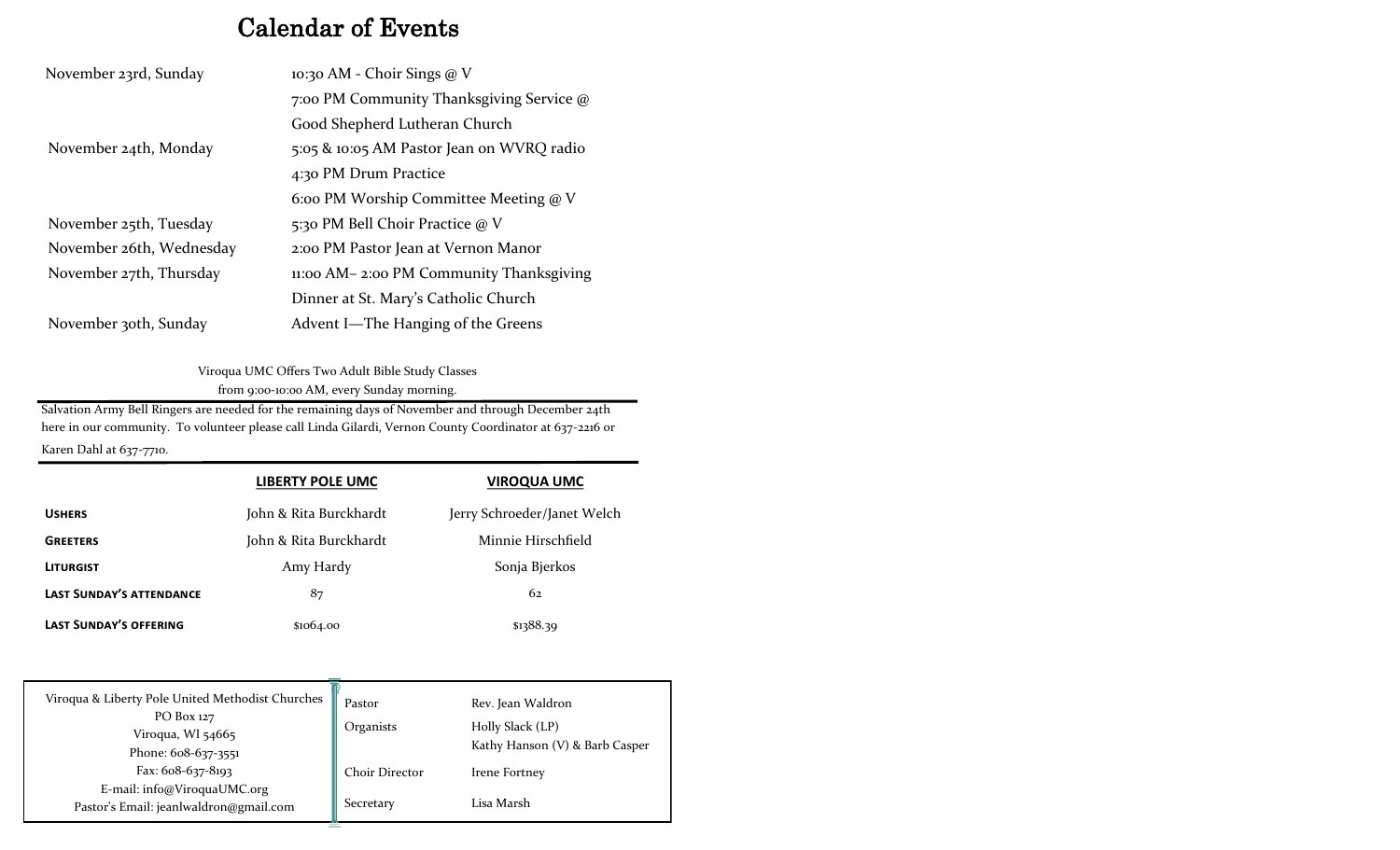## Calendar of Events

| November 23rd, Sunday    | 10:30 AM - Choir Sings $@V$               |
|--------------------------|-------------------------------------------|
|                          | 7:00 PM Community Thanksgiving Service @  |
|                          | Good Shepherd Lutheran Church             |
| November 24th, Monday    | 5:05 & 10:05 AM Pastor Jean on WVRQ radio |
|                          | 4:30 PM Drum Practice                     |
|                          | 6:00 PM Worship Committee Meeting $@V$    |
| November 25th, Tuesday   | 5:30 PM Bell Choir Practice @ V           |
| November 26th, Wednesday | 2:00 PM Pastor Jean at Vernon Manor       |
| November 27th, Thursday  | 11:00 AM – 2:00 PM Community Thanksgiving |
|                          | Dinner at St. Mary's Catholic Church      |
| November 30th, Sunday    | Advent I-The Hanging of the Greens        |

Viroqua UMC Offers Two Adult Bible Study Classes from 9:00-10:00 AM, every Sunday morning.

Salvation Army Bell Ringers are needed for the remaining days of November and through December 24th here in our community. To volunteer please call Linda Gilardi, Vernon County Coordinator at 637-2216 or

Karen Dahl at 637-7710.

|                                                  | <b>LIBERTY POLE UMC</b> | <b>VIROQUA UMC</b>          |
|--------------------------------------------------|-------------------------|-----------------------------|
| <b>USHERS</b>                                    | John & Rita Burckhardt  | Jerry Schroeder/Janet Welch |
| <b>GREETERS</b>                                  | John & Rita Burckhardt  | Minnie Hirschfield          |
| <b>LITURGIST</b>                                 | Amy Hardy               | Sonja Bjerkos               |
| <b>LAST SUNDAY'S ATTENDANCE</b>                  | 87                      | 62                          |
| <b>LAST SUNDAY'S OFFERING</b>                    | \$1064.00               | \$1388.39                   |
|                                                  |                         |                             |
|                                                  |                         |                             |
| Viroqua & Liberty Pole United Methodist Churches |                         | _ _ _ _                     |

| Viroqua & Liberty Pole United Methodist Churches | Pastor                | Rev. Jean Waldron              |
|--------------------------------------------------|-----------------------|--------------------------------|
| PO Box 127                                       | Organists             | Holly Slack (LP)               |
| Viroqua, WI 54665                                |                       | Kathy Hanson (V) & Barb Casper |
| Phone: 608-637-3551                              |                       |                                |
| Fax: 608-637-8193                                | <b>Choir Director</b> | Irene Fortney                  |
| E-mail: info@ViroquaUMC.org                      |                       |                                |
| Pastor's Email: jeanlwaldron@gmail.com           | Secretary             | Lisa Marsh                     |